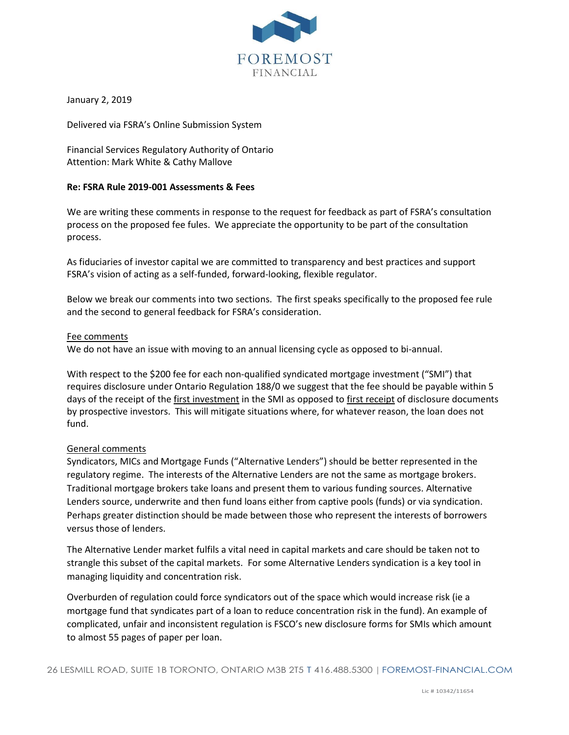

January 2, 2019

Delivered via FSRA's Online Submission System

Financial Services Regulatory Authority of Ontario Attention: Mark White & Cathy Mallove

## **Re: FSRA Rule 2019-001 Assessments & Fees**

We are writing these comments in response to the request for feedback as part of FSRA's consultation process on the proposed fee fules. We appreciate the opportunity to be part of the consultation process.

As fiduciaries of investor capital we are committed to transparency and best practices and support FSRA's vision of acting as a self-funded, forward-looking, flexible regulator.

Below we break our comments into two sections. The first speaks specifically to the proposed fee rule and the second to general feedback for FSRA's consideration.

## Fee comments

We do not have an issue with moving to an annual licensing cycle as opposed to bi-annual.

With respect to the \$200 fee for each non-qualified syndicated mortgage investment ("SMI") that requires disclosure under Ontario Regulation 188/0 we suggest that the fee should be payable within 5 days of the receipt of the first investment in the SMI as opposed to first receipt of disclosure documents by prospective investors. This will mitigate situations where, for whatever reason, the loan does not fund.

## General comments

Syndicators, MICs and Mortgage Funds ("Alternative Lenders") should be better represented in the regulatory regime. The interests of the Alternative Lenders are not the same as mortgage brokers. Traditional mortgage brokers take loans and present them to various funding sources. Alternative Lenders source, underwrite and then fund loans either from captive pools (funds) or via syndication. Perhaps greater distinction should be made between those who represent the interests of borrowers versus those of lenders.

The Alternative Lender market fulfils a vital need in capital markets and care should be taken not to strangle this subset of the capital markets. For some Alternative Lenders syndication is a key tool in managing liquidity and concentration risk.

Overburden of regulation could force syndicators out of the space which would increase risk (ie a mortgage fund that syndicates part of a loan to reduce concentration risk in the fund). An example of complicated, unfair and inconsistent regulation is FSCO's new disclosure forms for SMIs which amount to almost 55 pages of paper per loan.